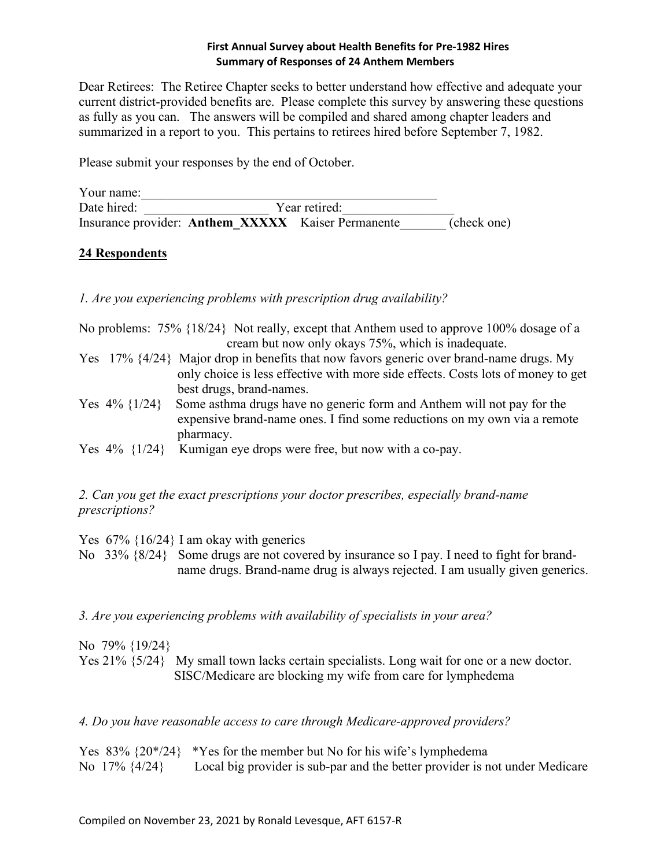## **First Annual Survey about Health Benefits for Pre-1982 Hires Summary of Responses of 24 Anthem Members**

Dear Retirees: The Retiree Chapter seeks to better understand how effective and adequate your current district-provided benefits are. Please complete this survey by answering these questions as fully as you can. The answers will be compiled and shared among chapter leaders and summarized in a report to you. This pertains to retirees hired before September 7, 1982.

Please submit your responses by the end of October.

Your name: Date hired: Year retired: Insurance provider: **Anthem XXXXX** Kaiser Permanente (check one)

## **24 Respondents**

*1. Are you experiencing problems with prescription drug availability?*

No problems: 75% {18/24} Not really, except that Anthem used to approve 100% dosage of a cream but now only okays 75%, which is inadequate.

- Yes 17% {4/24} Major drop in benefits that now favors generic over brand-name drugs. My only choice is less effective with more side effects. Costs lots of money to get best drugs, brand-names.
- Yes 4% {1/24} Some asthma drugs have no generic form and Anthem will not pay for the expensive brand-name ones. I find some reductions on my own via a remote pharmacy.

Yes  $4\%$  {1/24} Kumigan eye drops were free, but now with a co-pay.

## *2. Can you get the exact prescriptions your doctor prescribes, especially brand-name prescriptions?*

Yes 67% {16/24} I am okay with generics No 33% {8/24} Some drugs are not covered by insurance so I pay. I need to fight for brand name drugs. Brand-name drug is always rejected. I am usually given generics.

*3. Are you experiencing problems with availability of specialists in your area?*

No 79% {19/24} Yes 21%  $\{5/24\}$  My small town lacks certain specialists. Long wait for one or a new doctor. SISC/Medicare are blocking my wife from care for lymphedema

*4. Do you have reasonable access to care through Medicare-approved providers?*

Yes  $83\%$   $\{20^*/24\}$  \*Yes for the member but No for his wife's lymphedema No 17% {4/24} Local big provider is sub-par and the better provider is not under Medicare